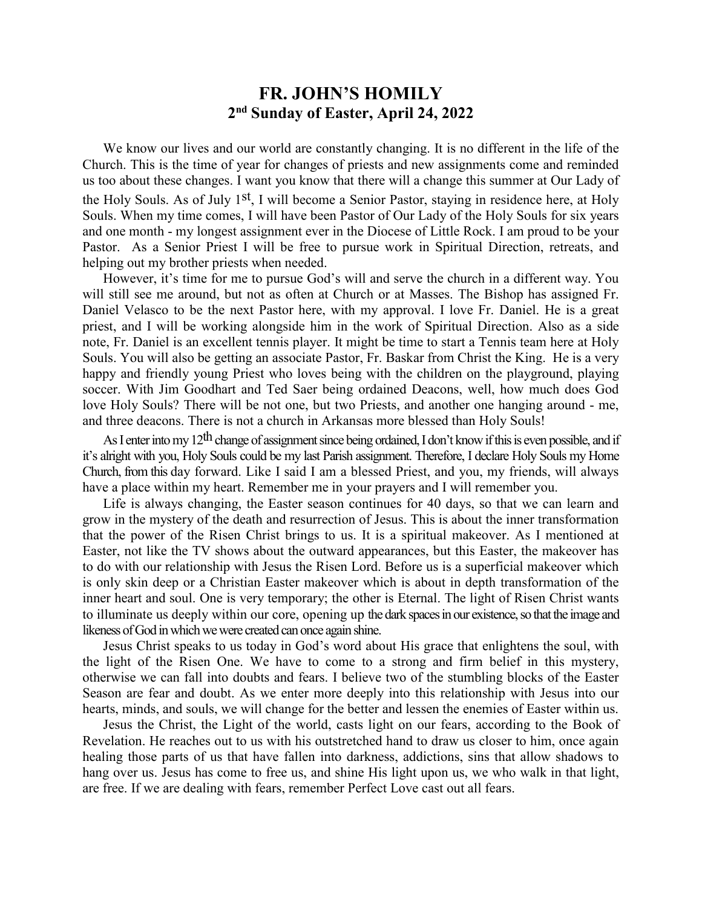## **FR. JOHN'S HOMILY 2 nd Sunday of Easter, April 24, 2022**

We know our lives and our world are constantly changing. It is no different in the life of the Church. This is the time of year for changes of priests and new assignments come and reminded us too about these changes. I want you know that there will a change this summer at Our Lady of the Holy Souls. As of July 1st, I will become a Senior Pastor, staying in residence here, at Holy Souls. When my time comes, I will have been Pastor of Our Lady of the Holy Souls for six years and one month - my longest assignment ever in the Diocese of Little Rock. I am proud to be your Pastor. As a Senior Priest I will be free to pursue work in Spiritual Direction, retreats, and helping out my brother priests when needed.

 However, it's time for me to pursue God's will and serve the church in a different way. You will still see me around, but not as often at Church or at Masses. The Bishop has assigned Fr. Daniel Velasco to be the next Pastor here, with my approval. I love Fr. Daniel. He is a great priest, and I will be working alongside him in the work of Spiritual Direction. Also as a side note, Fr. Daniel is an excellent tennis player. It might be time to start a Tennis team here at Holy Souls. You will also be getting an associate Pastor, Fr. Baskar from Christ the King. He is a very happy and friendly young Priest who loves being with the children on the playground, playing soccer. With Jim Goodhart and Ted Saer being ordained Deacons, well, how much does God love Holy Souls? There will be not one, but two Priests, and another one hanging around - me, and three deacons. There is not a church in Arkansas more blessed than Holy Souls!

As I enter into my 12<sup>th</sup> change of assignment since being ordained, I don't know if this is even possible, and if it's alright with you, Holy Souls could be my last Parish assignment. Therefore, I declare Holy Souls my Home Church, from this day forward. Like I said I am a blessed Priest, and you, my friends, will always have a place within my heart. Remember me in your prayers and I will remember you.

 Life is always changing, the Easter season continues for 40 days, so that we can learn and grow in the mystery of the death and resurrection of Jesus. This is about the inner transformation that the power of the Risen Christ brings to us. It is a spiritual makeover. As I mentioned at Easter, not like the TV shows about the outward appearances, but this Easter, the makeover has to do with our relationship with Jesus the Risen Lord. Before us is a superficial makeover which is only skin deep or a Christian Easter makeover which is about in depth transformation of the inner heart and soul. One is very temporary; the other is Eternal. The light of Risen Christ wants to illuminate us deeply within our core, opening up the dark spaces in our existence, so that the image and likeness of God in which we were created can once again shine.

 Jesus Christ speaks to us today in God's word about His grace that enlightens the soul, with the light of the Risen One. We have to come to a strong and firm belief in this mystery, otherwise we can fall into doubts and fears. I believe two of the stumbling blocks of the Easter Season are fear and doubt. As we enter more deeply into this relationship with Jesus into our hearts, minds, and souls, we will change for the better and lessen the enemies of Easter within us.

 Jesus the Christ, the Light of the world, casts light on our fears, according to the Book of Revelation. He reaches out to us with his outstretched hand to draw us closer to him, once again healing those parts of us that have fallen into darkness, addictions, sins that allow shadows to hang over us. Jesus has come to free us, and shine His light upon us, we who walk in that light, are free. If we are dealing with fears, remember Perfect Love cast out all fears.